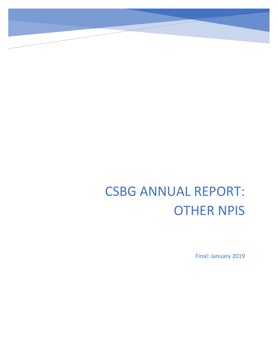## CSBG ANNUAL REPORT: OTHER NPIS

Final: January 2019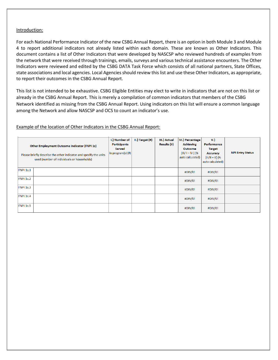## Introduction:

For each National Performance Indicator of the new CSBG Annual Report, there is an option in both Module 3 and Module 4 to report additional indicators not already listed within each domain. These are known as Other Indicators. This document contains a list of Other Indicators that were developed by NASCSP who reviewed hundreds of examples from the network that were received through trainings, emails, surveys and various technical assistance encounters. The Other Indicators were reviewed and edited by the CSBG DATA Task Force which consists of all national partners, State Offices, state associations and local agencies. Local Agencies should review this list and use these Other Indicators, as appropriate, to report their outcomes in the CSBG Annual Report.

This list is not intended to be exhaustive. CSBG Eligible Entities may elect to write in indicators that are not on this list or already in the CSBG Annual Report. This is merely a compilation of common indicators that members of the CSBG Network identified as missing from the CSBG Annual Report. Using indicators on this list will ensure a common language among the Network and allow NASCSP and OCS to count an indicator's use.

## Example of the location of Other Indicators in the CSBG Annual Report:

| Other Employment Outcome Indicator (FNPI 1z)<br>Please briefly describe the other indicator and specify the units<br>used (number of individuals or households) | I.) Number of<br><b>Participants</b><br><b>Served</b><br>in program(s) (#) | II.) Target (#) | III.) Actual<br>Results (#) | IV.) Percentage<br><b>Achieving</b><br>Outcome<br>$[III/1 = IV]$ (%<br>auto calculated) | V.<br>Performance<br><b>Target</b><br><b>Accuracy</b><br>$(III/II = V)$ (%)<br>auto calculated) | <b>NPI Entry Status</b> |
|-----------------------------------------------------------------------------------------------------------------------------------------------------------------|----------------------------------------------------------------------------|-----------------|-----------------------------|-----------------------------------------------------------------------------------------|-------------------------------------------------------------------------------------------------|-------------------------|
| <b>FNPI 1z.1</b>                                                                                                                                                |                                                                            |                 |                             | #DIV/0!                                                                                 | #DIV/0!                                                                                         |                         |
| <b>FNPI 1z.2</b>                                                                                                                                                |                                                                            |                 |                             | $\#$ DIV/0!                                                                             | $\#$ DIV/0!                                                                                     |                         |
| FNPI 1z.3                                                                                                                                                       |                                                                            |                 |                             | #DIV/0!                                                                                 | #DIV/0!                                                                                         |                         |
| FNPI 1z.4                                                                                                                                                       |                                                                            |                 |                             | #DIV/0!                                                                                 | #DIV/0!                                                                                         |                         |
| FNPI 1z.5                                                                                                                                                       |                                                                            |                 |                             | $\text{HDIV}/0!$                                                                        | $\#$ DIV/0!                                                                                     |                         |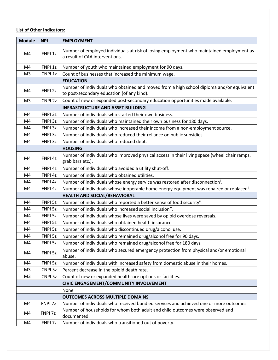## **List of Other Indicators:**

| <b>Module</b>  | <b>NPI</b>         | <b>EMPLOYMENT</b>                                                                                                                       |  |  |  |
|----------------|--------------------|-----------------------------------------------------------------------------------------------------------------------------------------|--|--|--|
| M4             | FNPI <sub>1z</sub> | Number of employed individuals at risk of losing employment who maintained employment as<br>a result of CAA interventions.              |  |  |  |
| M4             | FNPI <sub>1z</sub> | Number of youth who maintained employment for 90 days.                                                                                  |  |  |  |
| M <sub>3</sub> | CNPI <sub>1z</sub> | Count of businesses that increased the minimum wage.                                                                                    |  |  |  |
|                |                    | <b>EDUCATION</b>                                                                                                                        |  |  |  |
| M4             | FNPI <sub>2z</sub> | Number of individuals who obtained and moved from a high school diploma and/or equivalent<br>to post-secondary education (of any kind). |  |  |  |
| M <sub>3</sub> | CNPI <sub>2z</sub> | Count of new or expanded post-secondary education opportunities made available.                                                         |  |  |  |
|                |                    | <b>INFRASTRUCTURE AND ASSET BUILDING</b>                                                                                                |  |  |  |
| M4             | FNPI 3z            | Number of individuals who started their own business.                                                                                   |  |  |  |
| M4             | FNPI 3z            | Number of individuals who maintained their own business for 180 days.                                                                   |  |  |  |
| M4             | FNPI 3z            | Number of individuals who increased their income from a non-employment source.                                                          |  |  |  |
| M4             | FNPI 3z            | Number of individuals who reduced their reliance on public subsidies.                                                                   |  |  |  |
| M4             | FNPI 3z            | Number of individuals who reduced debt.                                                                                                 |  |  |  |
|                |                    | <b>HOUSING</b>                                                                                                                          |  |  |  |
| M4             | FNPI 4z            | Number of individuals who improved physical access in their living space (wheel chair ramps,<br>grab bars etc.).                        |  |  |  |
| M4             | FNPI 4z            | Number of individuals who avoided a utility shut-off.                                                                                   |  |  |  |
| M4             | FNPI 4z            | Number of individuals who obtained utilities.                                                                                           |  |  |  |
| M4             | FNPI 4z            | Number of individuals whose energy service was restored after disconnection <sup>i</sup> .                                              |  |  |  |
| M4             | FNPI 4z            | Number of individuals whose inoperable home energy equipment was repaired or replaced <sup>ii</sup> .                                   |  |  |  |
|                |                    | HEALTH AND SOCIAL/BEHAVIORAL                                                                                                            |  |  |  |
| M4             | FNPI 5z            | Number of individuals who reported a better sense of food security".                                                                    |  |  |  |
| M4             | FNPI 5z            | Number of individuals who increased social inclusion <sup>iv</sup> .                                                                    |  |  |  |
| M4             | FNPI 5z            | Number of individuals whose lives were saved by opioid overdose reversals.                                                              |  |  |  |
| M4             | FNPI 5z            | Number of individuals who obtained health insurance.                                                                                    |  |  |  |
| M4             | FNPI 5z            | Number of individuals who discontinued drug/alcohol use.                                                                                |  |  |  |
| M4             | FNPI 5z            | Number of individuals who remained drug/alcohol free for 90 days.                                                                       |  |  |  |
| M4             | FNPI 5z            | Number of individuals who remained drug/alcohol free for 180 days.                                                                      |  |  |  |
| M4             | FNPI 5z            | Number of individuals who secured emergency protection from physical and/or emotional<br>abuse.                                         |  |  |  |
| M4             | FNPI 5z            | Number of individuals with increased safety from domestic abuse in their homes.                                                         |  |  |  |
| M <sub>3</sub> | CNPI <sub>5z</sub> | Percent decrease in the opioid death rate.                                                                                              |  |  |  |
| M <sub>3</sub> | CNPI <sub>5z</sub> | Count of new or expanded healthcare options or facilities.                                                                              |  |  |  |
|                |                    | CIVIC ENGAGEMENT/COMMUNITY INVOLVEMENT                                                                                                  |  |  |  |
|                |                    | None                                                                                                                                    |  |  |  |
|                |                    | <b>OUTCOMES ACROSS MULTIPLE DOMAINS</b>                                                                                                 |  |  |  |
| M4             | FNPI 7z            | Number of individuals who received bundled services and achieved one or more outcomes.                                                  |  |  |  |
| M4             | FNPI 7z            | Number of households for whom both adult and child outcomes were observed and<br>documented.                                            |  |  |  |
| M4             | FNPI 7z            | Number of individuals who transitioned out of poverty.                                                                                  |  |  |  |